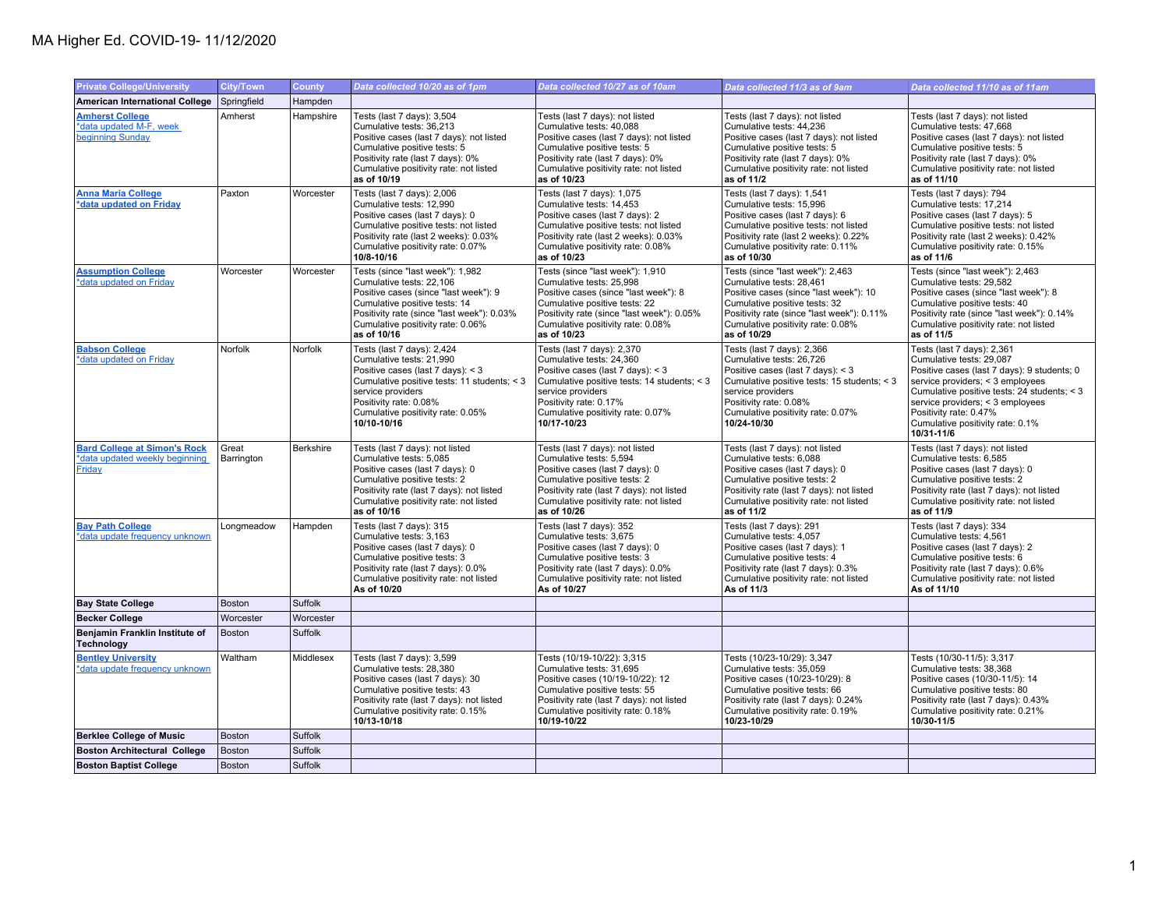## MA Higher Ed. COVID-19- 11/12/2020

| <b>Private College/University</b>                                               | <b>City/Town</b>    | <b>County</b> | Data collected 10/20 as of 1pm                                                                                                                                                                                                                | Data collected 10/27 as of 10am                                                                                                                                                                                                               | Data collected 11/3 as of 9am                                                                                                                                                                                                                 | Data collected 11/10 as of 11am                                                                                                                                                                                                                                                                          |
|---------------------------------------------------------------------------------|---------------------|---------------|-----------------------------------------------------------------------------------------------------------------------------------------------------------------------------------------------------------------------------------------------|-----------------------------------------------------------------------------------------------------------------------------------------------------------------------------------------------------------------------------------------------|-----------------------------------------------------------------------------------------------------------------------------------------------------------------------------------------------------------------------------------------------|----------------------------------------------------------------------------------------------------------------------------------------------------------------------------------------------------------------------------------------------------------------------------------------------------------|
| <b>American International College</b>                                           | Springfield         | Hampden       |                                                                                                                                                                                                                                               |                                                                                                                                                                                                                                               |                                                                                                                                                                                                                                               |                                                                                                                                                                                                                                                                                                          |
| <b>Amherst College</b><br>*data updated M-F, week<br>beginning Sunday           | Amherst             | Hampshire     | Tests (last 7 days): 3,504<br>Cumulative tests: 36,213<br>Positive cases (last 7 days): not listed<br>Cumulative positive tests: 5<br>Positivity rate (last 7 days): 0%<br>Cumulative positivity rate: not listed<br>as of 10/19              | Tests (last 7 days): not listed<br>Cumulative tests: 40,088<br>Positive cases (last 7 days): not listed<br>Cumulative positive tests: 5<br>Positivity rate (last 7 days): 0%<br>Cumulative positivity rate: not listed<br>as of 10/23         | Tests (last 7 days): not listed<br>Cumulative tests: 44,236<br>Positive cases (last 7 days): not listed<br>Cumulative positive tests: 5<br>Positivity rate (last 7 days): 0%<br>Cumulative positivity rate: not listed<br>as of 11/2          | Tests (last 7 days): not listed<br>Cumulative tests: 47,668<br>Positive cases (last 7 days): not listed<br>Cumulative positive tests: 5<br>Positivity rate (last 7 days): 0%<br>Cumulative positivity rate: not listed<br>as of 11/10                                                                    |
| <b>Anna Maria College</b><br>*data updated on Friday                            | Paxton              | Worcester     | Tests (last 7 days): 2,006<br>Cumulative tests: 12,990<br>Positive cases (last 7 days): 0<br>Cumulative positive tests: not listed<br>Positivity rate (last 2 weeks): 0.03%<br>Cumulative positivity rate: 0.07%<br>10/8-10/16                | Tests (last 7 days): 1,075<br>Cumulative tests: 14,453<br>Positive cases (last 7 days): 2<br>Cumulative positive tests: not listed<br>Positivity rate (last 2 weeks): 0.03%<br>Cumulative positivity rate: 0.08%<br>as of 10/23               | Tests (last 7 days): 1,541<br>Cumulative tests: 15,996<br>Positive cases (last 7 days): 6<br>Cumulative positive tests: not listed<br>Positivity rate (last 2 weeks): 0.22%<br>Cumulative positivity rate: 0.11%<br>as of 10/30               | Tests (last 7 days): 794<br>Cumulative tests: 17,214<br>Positive cases (last 7 days): 5<br>Cumulative positive tests: not listed<br>Positivity rate (last 2 weeks): 0.42%<br>Cumulative positivity rate: 0.15%<br>as of 11/6                                                                             |
| <b>Assumption College</b><br>*data updated on Friday                            | Worcester           | Worcester     | Tests (since "last week"): 1,982<br>Cumulative tests: 22.106<br>Positive cases (since "last week"): 9<br>Cumulative positive tests: 14<br>Positivity rate (since "last week"): 0.03%<br>Cumulative positivity rate: 0.06%<br>as of 10/16      | Tests (since "last week"): 1,910<br>Cumulative tests: 25.998<br>Positive cases (since "last week"): 8<br>Cumulative positive tests: 22<br>Positivity rate (since "last week"): 0.05%<br>Cumulative positivity rate: 0.08%<br>as of 10/23      | Tests (since "last week"): 2,463<br>Cumulative tests: 28.461<br>Positive cases (since "last week"): 10<br>Cumulative positive tests: 32<br>Positivity rate (since "last week"): 0.11%<br>Cumulative positivity rate: 0.08%<br>as of 10/29     | Tests (since "last week"): 2,463<br>Cumulative tests: 29.582<br>Positive cases (since "last week"): 8<br>Cumulative positive tests: 40<br>Positivity rate (since "last week"): 0.14%<br>Cumulative positivity rate: not listed<br>as of 11/5                                                             |
| <b>Babson College</b><br>*data updated on Friday                                | Norfolk             | Norfolk       | Tests (last 7 days): 2,424<br>Cumulative tests: 21,990<br>Positive cases (last 7 days): < 3<br>Cumulative positive tests: 11 students; < 3<br>service providers<br>Positivity rate: 0.08%<br>Cumulative positivity rate: 0.05%<br>10/10-10/16 | Tests (last 7 days): 2,370<br>Cumulative tests: 24,360<br>Positive cases (last 7 days): < 3<br>Cumulative positive tests: 14 students; < 3<br>service providers<br>Positivity rate: 0.17%<br>Cumulative positivity rate: 0.07%<br>10/17-10/23 | Tests (last 7 days): 2,366<br>Cumulative tests: 26,726<br>Positive cases (last 7 days): < 3<br>Cumulative positive tests: 15 students; < 3<br>service providers<br>Positivity rate: 0.08%<br>Cumulative positivity rate: 0.07%<br>10/24-10/30 | Tests (last 7 days): 2,361<br>Cumulative tests: 29,087<br>Positive cases (last 7 days): 9 students; 0<br>service providers; < 3 employees<br>Cumulative positive tests: 24 students; < 3<br>service providers; < 3 employees<br>Positivity rate: 0.47%<br>Cumulative positivity rate: 0.1%<br>10/31-11/6 |
| <b>Bard College at Simon's Rock</b><br>*data updated weekly beginning<br>Friday | Great<br>Barrington | Berkshire     | Tests (last 7 days): not listed<br>Cumulative tests: 5,085<br>Positive cases (last 7 days): 0<br>Cumulative positive tests: 2<br>Positivity rate (last 7 days): not listed<br>Cumulative positivity rate: not listed<br>as of 10/16           | Tests (last 7 days): not listed<br>Cumulative tests: 5,594<br>Positive cases (last 7 days): 0<br>Cumulative positive tests: 2<br>Positivity rate (last 7 days): not listed<br>Cumulative positivity rate: not listed<br>as of 10/26           | Tests (last 7 days): not listed<br>Cumulative tests: 6,088<br>Positive cases (last 7 days): 0<br>Cumulative positive tests: 2<br>Positivity rate (last 7 days): not listed<br>Cumulative positivity rate: not listed<br>as of 11/2            | Tests (last 7 days): not listed<br>Cumulative tests: 6,585<br>Positive cases (last 7 days): 0<br>Cumulative positive tests: 2<br>Positivity rate (last 7 days): not listed<br>Cumulative positivity rate: not listed<br>as of 11/9                                                                       |
| <b>Bay Path College</b><br>*data update frequency unknown                       | Longmeadow          | Hampden       | Tests (last 7 days): 315<br>Cumulative tests: 3,163<br>Positive cases (last 7 days): 0<br>Cumulative positive tests: 3<br>Positivity rate (last 7 days): 0.0%<br>Cumulative positivity rate: not listed<br>As of 10/20                        | Tests (last 7 days): 352<br>Cumulative tests: 3,675<br>Positive cases (last 7 days): 0<br>Cumulative positive tests: 3<br>Positivity rate (last 7 days): 0.0%<br>Cumulative positivity rate: not listed<br>As of 10/27                        | Tests (last 7 days): 291<br>Cumulative tests: 4,057<br>Positive cases (last 7 days): 1<br>Cumulative positive tests: 4<br>Positivity rate (last 7 days): 0.3%<br>Cumulative positivity rate: not listed<br>As of 11/3                         | Tests (last 7 days): 334<br>Cumulative tests: 4,561<br>Positive cases (last 7 days): 2<br>Cumulative positive tests: 6<br>Positivity rate (last 7 days): 0.6%<br>Cumulative positivity rate: not listed<br>As of 11/10                                                                                   |
| <b>Bay State College</b>                                                        | <b>Boston</b>       | Suffolk       |                                                                                                                                                                                                                                               |                                                                                                                                                                                                                                               |                                                                                                                                                                                                                                               |                                                                                                                                                                                                                                                                                                          |
| <b>Becker College</b>                                                           | Worcester           | Worcester     |                                                                                                                                                                                                                                               |                                                                                                                                                                                                                                               |                                                                                                                                                                                                                                               |                                                                                                                                                                                                                                                                                                          |
| Benjamin Franklin Institute of<br><b>Technology</b>                             | Boston              | Suffolk       |                                                                                                                                                                                                                                               |                                                                                                                                                                                                                                               |                                                                                                                                                                                                                                               |                                                                                                                                                                                                                                                                                                          |
| <b>Bentley University</b><br>*data update frequency unknown                     | Waltham             | Middlesex     | Tests (last 7 days): 3,599<br>Cumulative tests: 28,380<br>Positive cases (last 7 days): 30<br>Cumulative positive tests: 43<br>Positivity rate (last 7 days): not listed<br>Cumulative positivity rate: 0.15%<br>10/13-10/18                  | Tests (10/19-10/22): 3,315<br>Cumulative tests: 31,695<br>Positive cases (10/19-10/22): 12<br>Cumulative positive tests: 55<br>Positivity rate (last 7 days): not listed<br>Cumulative positivity rate: 0.18%<br>10/19-10/22                  | Tests (10/23-10/29): 3,347<br>Cumulative tests: 35,059<br>Positive cases (10/23-10/29): 8<br>Cumulative positive tests: 66<br>Positivity rate (last 7 days): 0.24%<br>Cumulative positivity rate: 0.19%<br>10/23-10/29                        | Tests (10/30-11/5): 3,317<br>Cumulative tests: 38,368<br>Positive cases (10/30-11/5): 14<br>Cumulative positive tests: 80<br>Positivity rate (last 7 days): 0.43%<br>Cumulative positivity rate: 0.21%<br>10/30-11/5                                                                                     |
| <b>Berklee College of Music</b>                                                 | <b>Boston</b>       | Suffolk       |                                                                                                                                                                                                                                               |                                                                                                                                                                                                                                               |                                                                                                                                                                                                                                               |                                                                                                                                                                                                                                                                                                          |
| <b>Boston Architectural College</b>                                             | Boston              | Suffolk       |                                                                                                                                                                                                                                               |                                                                                                                                                                                                                                               |                                                                                                                                                                                                                                               |                                                                                                                                                                                                                                                                                                          |
| <b>Boston Baptist College</b>                                                   | Boston              | Suffolk       |                                                                                                                                                                                                                                               |                                                                                                                                                                                                                                               |                                                                                                                                                                                                                                               |                                                                                                                                                                                                                                                                                                          |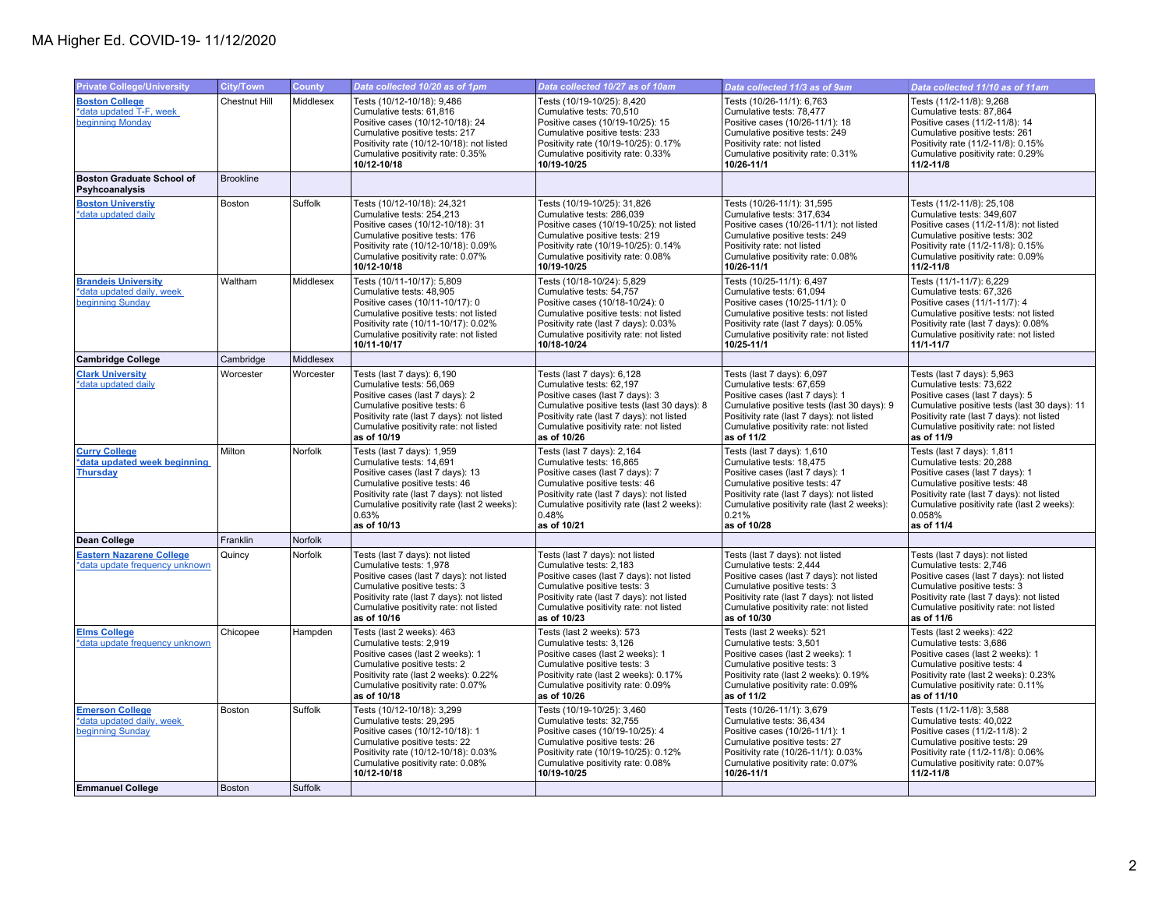| <b>Private College/University</b>                                           | <b>City/Town</b>     | <b>County</b> | Data collected 10/20 as of 1pm                                                                                                                                                                                                                 | Data collected 10/27 as of 10am                                                                                                                                                                                                                | Data collected 11/3 as of 9am                                                                                                                                                                                                                 | Data collected 11/10 as of 11am                                                                                                                                                                                                                |
|-----------------------------------------------------------------------------|----------------------|---------------|------------------------------------------------------------------------------------------------------------------------------------------------------------------------------------------------------------------------------------------------|------------------------------------------------------------------------------------------------------------------------------------------------------------------------------------------------------------------------------------------------|-----------------------------------------------------------------------------------------------------------------------------------------------------------------------------------------------------------------------------------------------|------------------------------------------------------------------------------------------------------------------------------------------------------------------------------------------------------------------------------------------------|
| <b>Boston College</b><br>*data updated T-F, week<br>beginning Monday        | <b>Chestnut Hill</b> | Middlesex     | Tests (10/12-10/18): 9,486<br>Cumulative tests: 61,816<br>Positive cases (10/12-10/18): 24<br>Cumulative positive tests: 217<br>Positivity rate (10/12-10/18): not listed<br>Cumulative positivity rate: 0.35%<br>10/12-10/18                  | Tests (10/19-10/25): 8,420<br>Cumulative tests: 70,510<br>Positive cases (10/19-10/25): 15<br>Cumulative positive tests: 233<br>Positivity rate (10/19-10/25): 0.17%<br>Cumulative positivity rate: 0.33%<br>10/19-10/25                       | Tests (10/26-11/1): 6,763<br>Cumulative tests: 78,477<br>Positive cases (10/26-11/1): 18<br>Cumulative positive tests: 249<br>Positivity rate: not listed<br>Cumulative positivity rate: 0.31%<br>10/26-11/1                                  | Tests (11/2-11/8): 9,268<br>Cumulative tests: 87,864<br>Positive cases (11/2-11/8): 14<br>Cumulative positive tests: 261<br>Positivity rate (11/2-11/8): 0.15%<br>Cumulative positivity rate: 0.29%<br>$11/2 - 11/8$                           |
| <b>Boston Graduate School of</b><br>Psyhcoanalysis                          | <b>Brookline</b>     |               |                                                                                                                                                                                                                                                |                                                                                                                                                                                                                                                |                                                                                                                                                                                                                                               |                                                                                                                                                                                                                                                |
| <b>Boston Universtiy</b><br>*data updated daily                             | <b>Boston</b>        | Suffolk       | Tests (10/12-10/18): 24,321<br>Cumulative tests: 254,213<br>Positive cases (10/12-10/18): 31<br>Cumulative positive tests: 176<br>Positivity rate (10/12-10/18): 0.09%<br>Cumulative positivity rate: 0.07%<br>10/12-10/18                     | Tests (10/19-10/25): 31,826<br>Cumulative tests: 286,039<br>Positive cases (10/19-10/25): not listed<br>Cumulative positive tests: 219<br>Positivity rate (10/19-10/25): 0.14%<br>Cumulative positivity rate: 0.08%<br>10/19-10/25             | Tests (10/26-11/1): 31,595<br>Cumulative tests: 317,634<br>Positive cases (10/26-11/1): not listed<br>Cumulative positive tests: 249<br>Positivity rate: not listed<br>Cumulative positivity rate: 0.08%<br>10/26-11/1                        | Tests (11/2-11/8): 25,108<br>Cumulative tests: 349,607<br>Positive cases (11/2-11/8): not listed<br>Cumulative positive tests: 302<br>Positivity rate (11/2-11/8): 0.15%<br>Cumulative positivity rate: 0.09%<br>11/2-11/8                     |
| <b>Brandeis University</b><br>*data updated daily, week<br>beginning Sunday | Waltham              | Middlesex     | Tests (10/11-10/17): 5,809<br>Cumulative tests: 48,905<br>Positive cases (10/11-10/17): 0<br>Cumulative positive tests: not listed<br>Positivity rate (10/11-10/17): 0.02%<br>Cumulative positivity rate: not listed<br>10/11-10/17            | Tests (10/18-10/24): 5,829<br>Cumulative tests: 54,757<br>Positive cases (10/18-10/24): 0<br>Cumulative positive tests: not listed<br>Positivity rate (last 7 days): 0.03%<br>Cumulative positivity rate: not listed<br>10/18-10/24            | Tests (10/25-11/1): 6,497<br>Cumulative tests: 61.094<br>Positive cases (10/25-11/1): 0<br>Cumulative positive tests: not listed<br>Positivity rate (last 7 days): 0.05%<br>Cumulative positivity rate: not listed<br>10/25-11/1              | Tests (11/1-11/7): 6,229<br>Cumulative tests: 67,326<br>Positive cases (11/1-11/7): 4<br>Cumulative positive tests: not listed<br>Positivity rate (last 7 days): 0.08%<br>Cumulative positivity rate: not listed<br>$11/1 - 11/7$              |
| <b>Cambridge College</b>                                                    | Cambridge            | Middlesex     |                                                                                                                                                                                                                                                |                                                                                                                                                                                                                                                |                                                                                                                                                                                                                                               |                                                                                                                                                                                                                                                |
| <b>Clark University</b><br>*data updated daily                              | Worcester            | Worcester     | Tests (last 7 days): 6,190<br>Cumulative tests: 56,069<br>Positive cases (last 7 days): 2<br>Cumulative positive tests: 6<br>Positivity rate (last 7 days): not listed<br>Cumulative positivity rate: not listed<br>as of 10/19                | Tests (last 7 days): 6,128<br>Cumulative tests: 62,197<br>Positive cases (last 7 days): 3<br>Cumulative positive tests (last 30 days): 8<br>Positivity rate (last 7 days): not listed<br>Cumulative positivity rate: not listed<br>as of 10/26 | Tests (last 7 days): 6,097<br>Cumulative tests: 67,659<br>Positive cases (last 7 days): 1<br>Cumulative positive tests (last 30 days): 9<br>Positivity rate (last 7 days): not listed<br>Cumulative positivity rate: not listed<br>as of 11/2 | Tests (last 7 days): 5,963<br>Cumulative tests: 73,622<br>Positive cases (last 7 days): 5<br>Cumulative positive tests (last 30 days): 11<br>Positivity rate (last 7 days): not listed<br>Cumulative positivity rate: not listed<br>as of 11/9 |
| <b>Curry College</b><br>*data updated week beginning<br><b>Thursday</b>     | Milton               | Norfolk       | Tests (last 7 days): 1,959<br>Cumulative tests: 14,691<br>Positive cases (last 7 days): 13<br>Cumulative positive tests: 46<br>Positivity rate (last 7 days): not listed<br>Cumulative positivity rate (last 2 weeks):<br>0.63%<br>as of 10/13 | Tests (last 7 days): 2,164<br>Cumulative tests: 16.865<br>Positive cases (last 7 days): 7<br>Cumulative positive tests: 46<br>Positivity rate (last 7 days): not listed<br>Cumulative positivity rate (last 2 weeks):<br>0.48%<br>as of 10/21  | Tests (last 7 days): 1,610<br>Cumulative tests: 18.475<br>Positive cases (last 7 days): 1<br>Cumulative positive tests: 47<br>Positivity rate (last 7 days): not listed<br>Cumulative positivity rate (last 2 weeks):<br>0.21%<br>as of 10/28 | Tests (last 7 days): 1,811<br>Cumulative tests: 20,288<br>Positive cases (last 7 days): 1<br>Cumulative positive tests: 48<br>Positivity rate (last 7 days): not listed<br>Cumulative positivity rate (last 2 weeks):<br>0.058%<br>as of 11/4  |
| Dean College                                                                | Franklin             | Norfolk       |                                                                                                                                                                                                                                                |                                                                                                                                                                                                                                                |                                                                                                                                                                                                                                               |                                                                                                                                                                                                                                                |
| <b>Eastern Nazarene College</b><br>*data update frequency unknown           | Quincy               | Norfolk       | Tests (last 7 days): not listed<br>Cumulative tests: 1,978<br>Positive cases (last 7 days): not listed<br>Cumulative positive tests: 3<br>Positivity rate (last 7 days): not listed<br>Cumulative positivity rate: not listed<br>as of 10/16   | Tests (last 7 days): not listed<br>Cumulative tests: 2,183<br>Positive cases (last 7 days): not listed<br>Cumulative positive tests: 3<br>Positivity rate (last 7 days): not listed<br>Cumulative positivity rate: not listed<br>as of 10/23   | Tests (last 7 days): not listed<br>Cumulative tests: 2,444<br>Positive cases (last 7 days): not listed<br>Cumulative positive tests: 3<br>Positivity rate (last 7 days): not listed<br>Cumulative positivity rate: not listed<br>as of 10/30  | Tests (last 7 days): not listed<br>Cumulative tests: 2,746<br>Positive cases (last 7 days): not listed<br>Cumulative positive tests: 3<br>Positivity rate (last 7 days): not listed<br>Cumulative positivity rate: not listed<br>as of 11/6    |
| <b>Elms College</b><br>*data update frequency unknown                       | Chicopee             | Hampden       | Tests (last 2 weeks): 463<br>Cumulative tests: 2,919<br>Positive cases (last 2 weeks): 1<br>Cumulative positive tests: 2<br>Positivity rate (last 2 weeks): 0.22%<br>Cumulative positivity rate: 0.07%<br>as of 10/18                          | Tests (last 2 weeks): 573<br>Cumulative tests: 3,126<br>Positive cases (last 2 weeks): 1<br>Cumulative positive tests: 3<br>Positivity rate (last 2 weeks): 0.17%<br>Cumulative positivity rate: 0.09%<br>as of 10/26                          | Tests (last 2 weeks): 521<br>Cumulative tests: 3,501<br>Positive cases (last 2 weeks): 1<br>Cumulative positive tests: 3<br>Positivity rate (last 2 weeks): 0.19%<br>Cumulative positivity rate: 0.09%<br>as of 11/2                          | Tests (last 2 weeks): 422<br>Cumulative tests: 3,686<br>Positive cases (last 2 weeks): 1<br>Cumulative positive tests: 4<br>Positivity rate (last 2 weeks): 0.23%<br>Cumulative positivity rate: 0.11%<br>as of 11/10                          |
| <b>Emerson College</b><br>*data updated daily, week<br>beginning Sunday     | Boston               | Suffolk       | Tests (10/12-10/18): 3,299<br>Cumulative tests: 29.295<br>Positive cases (10/12-10/18): 1<br>Cumulative positive tests: 22<br>Positivity rate (10/12-10/18): 0.03%<br>Cumulative positivity rate: 0.08%<br>10/12-10/18                         | Tests (10/19-10/25): 3,460<br>Cumulative tests: 32.755<br>Positive cases (10/19-10/25): 4<br>Cumulative positive tests: 26<br>Positivity rate (10/19-10/25): 0.12%<br>Cumulative positivity rate: 0.08%<br>10/19-10/25                         | Tests (10/26-11/1): 3,679<br>Cumulative tests: 36,434<br>Positive cases (10/26-11/1): 1<br>Cumulative positive tests: 27<br>Positivity rate (10/26-11/1): 0.03%<br>Cumulative positivity rate: 0.07%<br>10/26-11/1                            | Tests (11/2-11/8): 3,588<br>Cumulative tests: 40,022<br>Positive cases (11/2-11/8): 2<br>Cumulative positive tests: 29<br>Positivity rate (11/2-11/8): 0.06%<br>Cumulative positivity rate: 0.07%<br>$11/2 - 11/8$                             |
| <b>Emmanuel College</b>                                                     | <b>Boston</b>        | Suffolk       |                                                                                                                                                                                                                                                |                                                                                                                                                                                                                                                |                                                                                                                                                                                                                                               |                                                                                                                                                                                                                                                |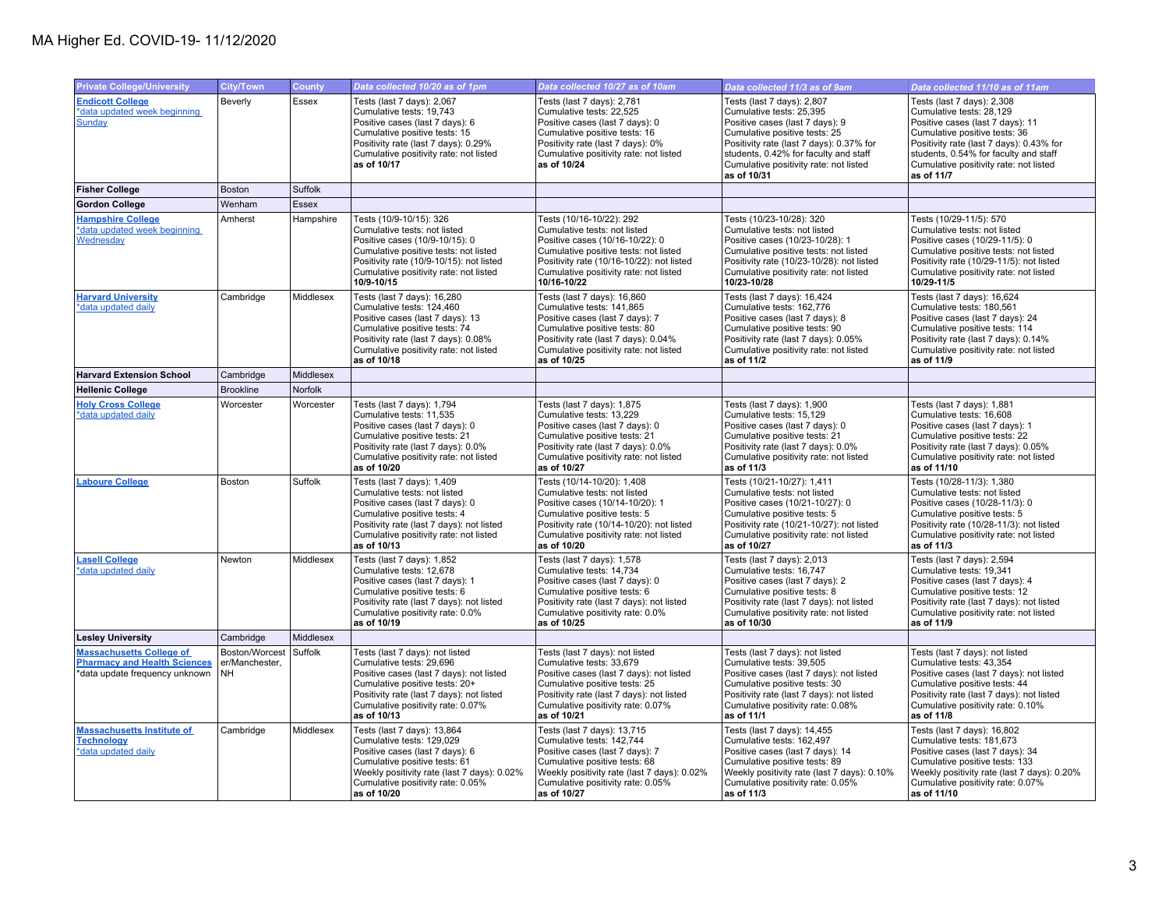| <b>Private College/University</b>                                                                        | <b>City/Town</b>                       | County       | Data collected 10/20 as of 1pm                                                                                                                                                                                                             | Data collected 10/27 as of 10am                                                                                                                                                                                                            | Data collected 11/3 as of 9am                                                                                                                                                                                                                                            | Data collected 11/10 as of 11am                                                                                                                                                                                                                                          |
|----------------------------------------------------------------------------------------------------------|----------------------------------------|--------------|--------------------------------------------------------------------------------------------------------------------------------------------------------------------------------------------------------------------------------------------|--------------------------------------------------------------------------------------------------------------------------------------------------------------------------------------------------------------------------------------------|--------------------------------------------------------------------------------------------------------------------------------------------------------------------------------------------------------------------------------------------------------------------------|--------------------------------------------------------------------------------------------------------------------------------------------------------------------------------------------------------------------------------------------------------------------------|
| <b>Endicott College</b><br>*data updated week beginning<br>Sunday                                        | Beverly                                | Essex        | Tests (last 7 days): 2,067<br>Cumulative tests: 19,743<br>Positive cases (last 7 days): 6<br>Cumulative positive tests: 15<br>Positivity rate (last 7 days): 0.29%<br>Cumulative positivity rate: not listed<br>as of 10/17                | Tests (last 7 days): 2,781<br>Cumulative tests: 22,525<br>Positive cases (last 7 days): 0<br>Cumulative positive tests: 16<br>Positivity rate (last 7 days): 0%<br>Cumulative positivity rate: not listed<br>as of 10/24                   | Tests (last 7 days): 2,807<br>Cumulative tests: 25,395<br>Positive cases (last 7 days): 9<br>Cumulative positive tests: 25<br>Positivity rate (last 7 days): 0.37% for<br>students, 0.42% for faculty and staff<br>Cumulative positivity rate: not listed<br>as of 10/31 | Tests (last 7 days): 2,308<br>Cumulative tests: 28,129<br>Positive cases (last 7 days): 11<br>Cumulative positive tests: 36<br>Positivity rate (last 7 days): 0.43% for<br>students, 0.54% for faculty and staff<br>Cumulative positivity rate: not listed<br>as of 11/7 |
| <b>Fisher College</b>                                                                                    | <b>Boston</b>                          | Suffolk      |                                                                                                                                                                                                                                            |                                                                                                                                                                                                                                            |                                                                                                                                                                                                                                                                          |                                                                                                                                                                                                                                                                          |
| <b>Gordon College</b>                                                                                    | Wenham                                 | <b>Essex</b> |                                                                                                                                                                                                                                            |                                                                                                                                                                                                                                            |                                                                                                                                                                                                                                                                          |                                                                                                                                                                                                                                                                          |
| <b>Hampshire College</b><br>*data updated week beginning<br>Wednesday                                    | Amherst                                | Hampshire    | Tests (10/9-10/15): 326<br>Cumulative tests: not listed<br>Positive cases (10/9-10/15): 0<br>Cumulative positive tests: not listed<br>Positivity rate (10/9-10/15): not listed<br>Cumulative positivity rate: not listed<br>10/9-10/15     | Tests (10/16-10/22): 292<br>Cumulative tests: not listed<br>Positive cases (10/16-10/22): 0<br>Cumulative positive tests: not listed<br>Positivity rate (10/16-10/22): not listed<br>Cumulative positivity rate: not listed<br>10/16-10/22 | Tests (10/23-10/28): 320<br>Cumulative tests: not listed<br>Positive cases (10/23-10/28): 1<br>Cumulative positive tests: not listed<br>Positivity rate (10/23-10/28): not listed<br>Cumulative positivity rate: not listed<br>10/23-10/28                               | Tests (10/29-11/5): 570<br>Cumulative tests: not listed<br>Positive cases (10/29-11/5): 0<br>Cumulative positive tests: not listed<br>Positivity rate (10/29-11/5): not listed<br>Cumulative positivity rate: not listed<br>10/29-11/5                                   |
| <b>Harvard University</b><br>*data updated daily                                                         | Cambridge                              | Middlesex    | Tests (last 7 days): 16,280<br>Cumulative tests: 124,460<br>Positive cases (last 7 days): 13<br>Cumulative positive tests: 74<br>Positivity rate (last 7 days): 0.08%<br>Cumulative positivity rate: not listed<br>as of 10/18             | Tests (last 7 days): 16,860<br>Cumulative tests: 141,865<br>Positive cases (last 7 days): 7<br>Cumulative positive tests: 80<br>Positivity rate (last 7 days): 0.04%<br>Cumulative positivity rate: not listed<br>as of 10/25              | Tests (last 7 days): 16,424<br>Cumulative tests: 162,776<br>Positive cases (last 7 days): 8<br>Cumulative positive tests: 90<br>Positivity rate (last 7 days): 0.05%<br>Cumulative positivity rate: not listed<br>as of 11/2                                             | Tests (last 7 days): 16,624<br>Cumulative tests: 180,561<br>Positive cases (last 7 days): 24<br>Cumulative positive tests: 114<br>Positivity rate (last 7 days): 0.14%<br>Cumulative positivity rate: not listed<br>as of 11/9                                           |
| <b>Harvard Extension School</b>                                                                          | Cambridge                              | Middlesex    |                                                                                                                                                                                                                                            |                                                                                                                                                                                                                                            |                                                                                                                                                                                                                                                                          |                                                                                                                                                                                                                                                                          |
| <b>Hellenic College</b>                                                                                  | <b>Brookline</b>                       | Norfolk      |                                                                                                                                                                                                                                            |                                                                                                                                                                                                                                            |                                                                                                                                                                                                                                                                          |                                                                                                                                                                                                                                                                          |
| <b>Holy Cross College</b><br>*data updated daily                                                         | Worcester                              | Worcester    | Tests (last 7 days): 1,794<br>Cumulative tests: 11,535<br>Positive cases (last 7 days): 0<br>Cumulative positive tests: 21<br>Positivity rate (last 7 days): 0.0%<br>Cumulative positivity rate: not listed<br>as of 10/20                 | Tests (last 7 days): 1,875<br>Cumulative tests: 13,229<br>Positive cases (last 7 days): 0<br>Cumulative positive tests: 21<br>Positivity rate (last 7 days): 0.0%<br>Cumulative positivity rate: not listed<br>as of 10/27                 | Tests (last 7 days): 1,900<br>Cumulative tests: 15,129<br>Positive cases (last 7 days): 0<br>Cumulative positive tests: 21<br>Positivity rate (last 7 days): 0.0%<br>Cumulative positivity rate: not listed<br>as of 11/3                                                | Tests (last 7 days): 1,881<br>Cumulative tests: 16,608<br>Positive cases (last 7 days): 1<br>Cumulative positive tests: 22<br>Positivity rate (last 7 days): 0.05%<br>Cumulative positivity rate: not listed<br>as of 11/10                                              |
| <b>Laboure College</b>                                                                                   | Boston                                 | Suffolk      | Tests (last 7 days): 1,409<br>Cumulative tests: not listed<br>Positive cases (last 7 days): 0<br>Cumulative positive tests: 4<br>Positivity rate (last 7 days): not listed<br>Cumulative positivity rate: not listed<br>as of 10/13        | Tests (10/14-10/20): 1,408<br>Cumulative tests: not listed<br>Positive cases (10/14-10/20): 1<br>Cumulative positive tests: 5<br>Positivity rate (10/14-10/20): not listed<br>Cumulative positivity rate: not listed<br>as of 10/20        | Tests (10/21-10/27): 1,411<br>Cumulative tests: not listed<br>Positive cases (10/21-10/27): 0<br>Cumulative positive tests: 5<br>Positivity rate (10/21-10/27): not listed<br>Cumulative positivity rate: not listed<br>as of 10/27                                      | Tests (10/28-11/3): 1,380<br>Cumulative tests: not listed<br>Positive cases (10/28-11/3): 0<br>Cumulative positive tests: 5<br>Positivity rate (10/28-11/3): not listed<br>Cumulative positivity rate: not listed<br>as of 11/3                                          |
| <b>Lasell College</b><br>*data updated daily                                                             | Newton                                 | Middlesex    | Tests (last 7 days): 1,852<br>Cumulative tests: 12,678<br>Positive cases (last 7 days): 1<br>Cumulative positive tests: 6<br>Positivity rate (last 7 days): not listed<br>Cumulative positivity rate: 0.0%<br>as of 10/19                  | Tests (last 7 days): 1,578<br>Cumulative tests: 14,734<br>Positive cases (last 7 days): 0<br>Cumulative positive tests: 6<br>Positivity rate (last 7 days): not listed<br>Cumulative positivity rate: 0.0%<br>as of 10/25                  | Tests (last 7 days): 2,013<br>Cumulative tests: 16,747<br>Positive cases (last 7 days): 2<br>Cumulative positive tests: 8<br>Positivity rate (last 7 days): not listed<br>Cumulative positivity rate: not listed<br>as of 10/30                                          | Tests (last 7 days): 2,594<br>Cumulative tests: 19,341<br>Positive cases (last 7 days): 4<br>Cumulative positive tests: 12<br>Positivity rate (last 7 days): not listed<br>Cumulative positivity rate: not listed<br>as of 11/9                                          |
| <b>Lesley University</b>                                                                                 | Cambridge                              | Middlesex    |                                                                                                                                                                                                                                            |                                                                                                                                                                                                                                            |                                                                                                                                                                                                                                                                          |                                                                                                                                                                                                                                                                          |
| <b>Massachusetts College of</b><br><b>Pharmacy and Health Sciences</b><br>*data update frequency unknown | Boston/Worcest<br>er/Manchester,<br>NΗ | Suffolk      | Tests (last 7 days): not listed<br>Cumulative tests: 29,696<br>Positive cases (last 7 days): not listed<br>Cumulative positive tests: 20+<br>Positivity rate (last 7 days): not listed<br>Cumulative positivity rate: 0.07%<br>as of 10/13 | Tests (last 7 days): not listed<br>Cumulative tests: 33,679<br>Positive cases (last 7 days): not listed<br>Cumulative positive tests: 25<br>Positivity rate (last 7 days): not listed<br>Cumulative positivity rate: 0.07%<br>as of 10/21  | Tests (last 7 days): not listed<br>Cumulative tests: 39,505<br>Positive cases (last 7 days): not listed<br>Cumulative positive tests: 30<br>Positivity rate (last 7 days): not listed<br>Cumulative positivity rate: 0.08%<br>as of 11/1                                 | Tests (last 7 days): not listed<br>Cumulative tests: 43,354<br>Positive cases (last 7 days): not listed<br>Cumulative positive tests: 44<br>Positivity rate (last 7 days): not listed<br>Cumulative positivity rate: 0.10%<br>as of 11/8                                 |
| <b>Massachusetts Institute of</b><br><b>Technology</b><br>*data updated daily                            | Cambridge                              | Middlesex    | Tests (last 7 days): 13,864<br>Cumulative tests: 129,029<br>Positive cases (last 7 days): 6<br>Cumulative positive tests: 61<br>Weekly positivity rate (last 7 days): 0.02%<br>Cumulative positivity rate: 0.05%<br>as of 10/20            | Tests (last 7 days): 13,715<br>Cumulative tests: 142,744<br>Positive cases (last 7 days): 7<br>Cumulative positive tests: 68<br>Weekly positivity rate (last 7 days): 0.02%<br>Cumulative positivity rate: 0.05%<br>as of 10/27            | Tests (last 7 days): 14,455<br>Cumulative tests: 162,497<br>Positive cases (last 7 days): 14<br>Cumulative positive tests: 89<br>Weekly positivity rate (last 7 days): 0.10%<br>Cumulative positivity rate: 0.05%<br>as of 11/3                                          | Tests (last 7 days): 16,802<br>Cumulative tests: 181,673<br>Positive cases (last 7 days): 34<br>Cumulative positive tests: 133<br>Weekly positivity rate (last 7 days): 0.20%<br>Cumulative positivity rate: 0.07%<br>as of 11/10                                        |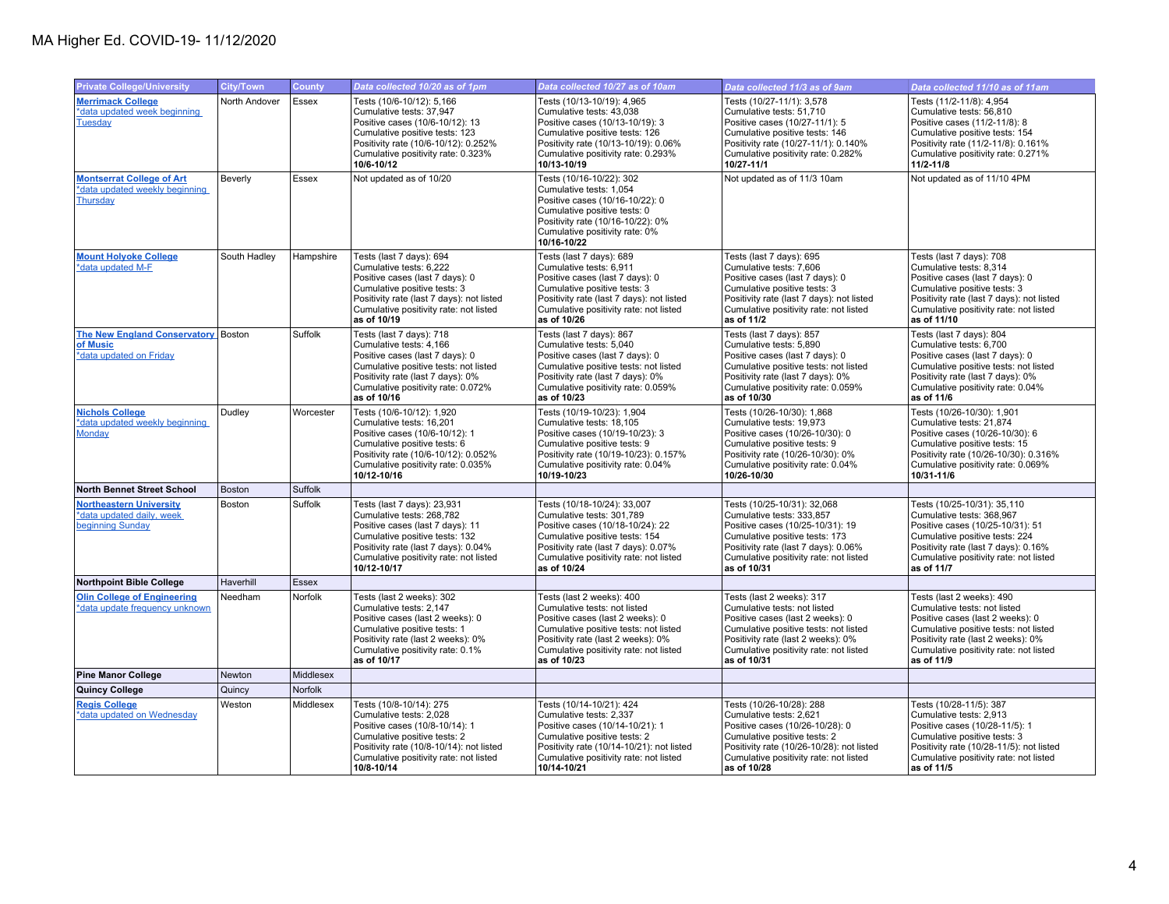| <b>Private College/University</b>                                                     | <b>City/Town</b> | <b>County</b> | Data collected 10/20 as of 1pm                                                                                                                                                                                                  | Data collected 10/27 as of 10am                                                                                                                                                                                                       | Data collected 11/3 as of 9am                                                                                                                                                                                                         | Data collected 11/10 as of 11am                                                                                                                                                                                                      |
|---------------------------------------------------------------------------------------|------------------|---------------|---------------------------------------------------------------------------------------------------------------------------------------------------------------------------------------------------------------------------------|---------------------------------------------------------------------------------------------------------------------------------------------------------------------------------------------------------------------------------------|---------------------------------------------------------------------------------------------------------------------------------------------------------------------------------------------------------------------------------------|--------------------------------------------------------------------------------------------------------------------------------------------------------------------------------------------------------------------------------------|
| <b>Merrimack College</b><br>*data updated week beginning<br><b>Tuesday</b>            | North Andover    | Essex         | Tests (10/6-10/12): 5,166<br>Cumulative tests: 37,947<br>Positive cases (10/6-10/12): 13<br>Cumulative positive tests: 123<br>Positivity rate (10/6-10/12): 0.252%<br>Cumulative positivity rate: 0.323%<br>10/6-10/12          | Tests (10/13-10/19): 4,965<br>Cumulative tests: 43,038<br>Positive cases (10/13-10/19): 3<br>Cumulative positive tests: 126<br>Positivity rate (10/13-10/19): 0.06%<br>Cumulative positivity rate: 0.293%<br>10/13-10/19              | Tests (10/27-11/1): 3,578<br>Cumulative tests: 51,710<br>Positive cases (10/27-11/1): 5<br>Cumulative positive tests: 146<br>Positivity rate (10/27-11/1): 0.140%<br>Cumulative positivity rate: 0.282%<br>10/27-11/1                 | Tests (11/2-11/8): 4,954<br>Cumulative tests: 56,810<br>Positive cases (11/2-11/8): 8<br>Cumulative positive tests: 154<br>Positivity rate (11/2-11/8): 0.161%<br>Cumulative positivity rate: 0.271%<br>$11/2 - 11/8$                |
| <b>Montserrat College of Art</b><br>*data updated weekly beginning<br><b>Thursday</b> | Beverly          | Essex         | Not updated as of 10/20                                                                                                                                                                                                         | Tests (10/16-10/22): 302<br>Cumulative tests: 1,054<br>Positive cases (10/16-10/22): 0<br>Cumulative positive tests: 0<br>Positivity rate (10/16-10/22): 0%<br>Cumulative positivity rate: 0%<br>10/16-10/22                          | Not updated as of 11/3 10am                                                                                                                                                                                                           | Not updated as of 11/10 4PM                                                                                                                                                                                                          |
| <b>Mount Holyoke College</b><br>*data updated M-F                                     | South Hadley     | Hampshire     | Tests (last 7 days): 694<br>Cumulative tests: 6,222<br>Positive cases (last 7 days): 0<br>Cumulative positive tests: 3<br>Positivity rate (last 7 days): not listed<br>Cumulative positivity rate: not listed<br>as of 10/19    | Tests (last 7 days): 689<br>Cumulative tests: 6,911<br>Positive cases (last 7 days): 0<br>Cumulative positive tests: 3<br>Positivity rate (last 7 days): not listed<br>Cumulative positivity rate: not listed<br>as of 10/26          | Tests (last 7 days): 695<br>Cumulative tests: 7,606<br>Positive cases (last 7 days): 0<br>Cumulative positive tests: 3<br>Positivity rate (last 7 days): not listed<br>Cumulative positivity rate: not listed<br>as of 11/2           | Tests (last 7 days): 708<br>Cumulative tests: 8,314<br>Positive cases (last 7 days): 0<br>Cumulative positive tests: 3<br>Positivity rate (last 7 days): not listed<br>Cumulative positivity rate: not listed<br>as of 11/10         |
| The New England Conservatory Boston<br>of Music<br>*data updated on Friday            |                  | Suffolk       | Tests (last 7 days): 718<br>Cumulative tests: 4,166<br>Positive cases (last 7 days): 0<br>Cumulative positive tests: not listed<br>Positivity rate (last 7 days): 0%<br>Cumulative positivity rate: 0.072%<br>as of 10/16       | Tests (last 7 days): 867<br>Cumulative tests: 5,040<br>Positive cases (last 7 days): 0<br>Cumulative positive tests: not listed<br>Positivity rate (last 7 days): 0%<br>Cumulative positivity rate: 0.059%<br>as of 10/23             | Tests (last 7 days): 857<br>Cumulative tests: 5,890<br>Positive cases (last 7 days): 0<br>Cumulative positive tests: not listed<br>Positivity rate (last 7 days): 0%<br>Cumulative positivity rate: 0.059%<br>as of 10/30             | Tests (last 7 days): 804<br>Cumulative tests: 6,700<br>Positive cases (last 7 days): 0<br>Cumulative positive tests: not listed<br>Positivity rate (last 7 days): 0%<br>Cumulative positivity rate: 0.04%<br>as of 11/6              |
| <b>Nichols College</b><br>*data updated weekly beginning<br><b>Monday</b>             | Dudley           | Worcester     | Tests (10/6-10/12): 1,920<br>Cumulative tests: 16,201<br>Positive cases (10/6-10/12): 1<br>Cumulative positive tests: 6<br>Positivity rate (10/6-10/12): 0.052%<br>Cumulative positivity rate: 0.035%<br>10/12-10/16            | Tests (10/19-10/23): 1,904<br>Cumulative tests: 18,105<br>Positive cases (10/19-10/23): 3<br>Cumulative positive tests: 9<br>Positivity rate (10/19-10/23): 0.157%<br>Cumulative positivity rate: 0.04%<br>10/19-10/23                | Tests (10/26-10/30): 1,868<br>Cumulative tests: 19,973<br>Positive cases (10/26-10/30): 0<br>Cumulative positive tests: 9<br>Positivity rate (10/26-10/30): 0%<br>Cumulative positivity rate: 0.04%<br>10/26-10/30                    | Tests (10/26-10/30): 1,901<br>Cumulative tests: 21,874<br>Positive cases (10/26-10/30): 6<br>Cumulative positive tests: 15<br>Positivity rate (10/26-10/30): 0.316%<br>Cumulative positivity rate: 0.069%<br>10/31-11/6              |
| <b>North Bennet Street School</b>                                                     | Boston           | Suffolk       |                                                                                                                                                                                                                                 |                                                                                                                                                                                                                                       |                                                                                                                                                                                                                                       |                                                                                                                                                                                                                                      |
| <b>Northeastern University</b><br>*data updated daily, week<br>beginning Sunday       | Boston           | Suffolk       | Tests (last 7 days): 23,931<br>Cumulative tests: 268,782<br>Positive cases (last 7 days): 11<br>Cumulative positive tests: 132<br>Positivity rate (last 7 days): 0.04%<br>Cumulative positivity rate: not listed<br>10/12-10/17 | Tests (10/18-10/24): 33,007<br>Cumulative tests: 301,789<br>Positive cases (10/18-10/24): 22<br>Cumulative positive tests: 154<br>Positivity rate (last 7 days): 0.07%<br>Cumulative positivity rate: not listed<br>as of 10/24       | Tests (10/25-10/31): 32,068<br>Cumulative tests: 333,857<br>Positive cases (10/25-10/31): 19<br>Cumulative positive tests: 173<br>Positivity rate (last 7 days): 0.06%<br>Cumulative positivity rate: not listed<br>as of 10/31       | Tests (10/25-10/31): 35,110<br>Cumulative tests: 368,967<br>Positive cases (10/25-10/31): 51<br>Cumulative positive tests: 224<br>Positivity rate (last 7 days): 0.16%<br>Cumulative positivity rate: not listed<br>as of 11/7       |
| <b>Northpoint Bible College</b>                                                       | Haverhill        | <b>Essex</b>  |                                                                                                                                                                                                                                 |                                                                                                                                                                                                                                       |                                                                                                                                                                                                                                       |                                                                                                                                                                                                                                      |
| <b>Olin College of Engineering</b><br>*data update frequency unknown                  | Needham          | Norfolk       | Tests (last 2 weeks): 302<br>Cumulative tests: 2,147<br>Positive cases (last 2 weeks): 0<br>Cumulative positive tests: 1<br>Positivity rate (last 2 weeks): 0%<br>Cumulative positivity rate: 0.1%<br>as of 10/17               | Tests (last 2 weeks): 400<br>Cumulative tests: not listed<br>Positive cases (last 2 weeks): 0<br>Cumulative positive tests: not listed<br>Positivity rate (last 2 weeks): 0%<br>Cumulative positivity rate: not listed<br>as of 10/23 | Tests (last 2 weeks): 317<br>Cumulative tests: not listed<br>Positive cases (last 2 weeks): 0<br>Cumulative positive tests: not listed<br>Positivity rate (last 2 weeks): 0%<br>Cumulative positivity rate: not listed<br>as of 10/31 | Tests (last 2 weeks): 490<br>Cumulative tests: not listed<br>Positive cases (last 2 weeks): 0<br>Cumulative positive tests: not listed<br>Positivity rate (last 2 weeks): 0%<br>Cumulative positivity rate: not listed<br>as of 11/9 |
| <b>Pine Manor College</b>                                                             | Newton           | Middlesex     |                                                                                                                                                                                                                                 |                                                                                                                                                                                                                                       |                                                                                                                                                                                                                                       |                                                                                                                                                                                                                                      |
| <b>Quincy College</b>                                                                 | Quincy           | Norfolk       |                                                                                                                                                                                                                                 |                                                                                                                                                                                                                                       |                                                                                                                                                                                                                                       |                                                                                                                                                                                                                                      |
| <b>Regis College</b><br>*data updated on Wednesday                                    | Weston           | Middlesex     | Tests (10/8-10/14): 275<br>Cumulative tests: 2,028<br>Positive cases (10/8-10/14): 1<br>Cumulative positive tests: 2<br>Positivity rate (10/8-10/14): not listed<br>Cumulative positivity rate: not listed<br>10/8-10/14        | Tests (10/14-10/21): 424<br>Cumulative tests: 2,337<br>Positive cases (10/14-10/21): 1<br>Cumulative positive tests: 2<br>Positivity rate (10/14-10/21): not listed<br>Cumulative positivity rate: not listed<br>10/14-10/21          | Tests (10/26-10/28): 288<br>Cumulative tests: 2,621<br>Positive cases (10/26-10/28): 0<br>Cumulative positive tests: 2<br>Positivity rate (10/26-10/28): not listed<br>Cumulative positivity rate: not listed<br>as of 10/28          | Tests (10/28-11/5): 387<br>Cumulative tests: 2,913<br>Positive cases (10/28-11/5): 1<br>Cumulative positive tests: 3<br>Positivity rate (10/28-11/5): not listed<br>Cumulative positivity rate: not listed<br>as of 11/5             |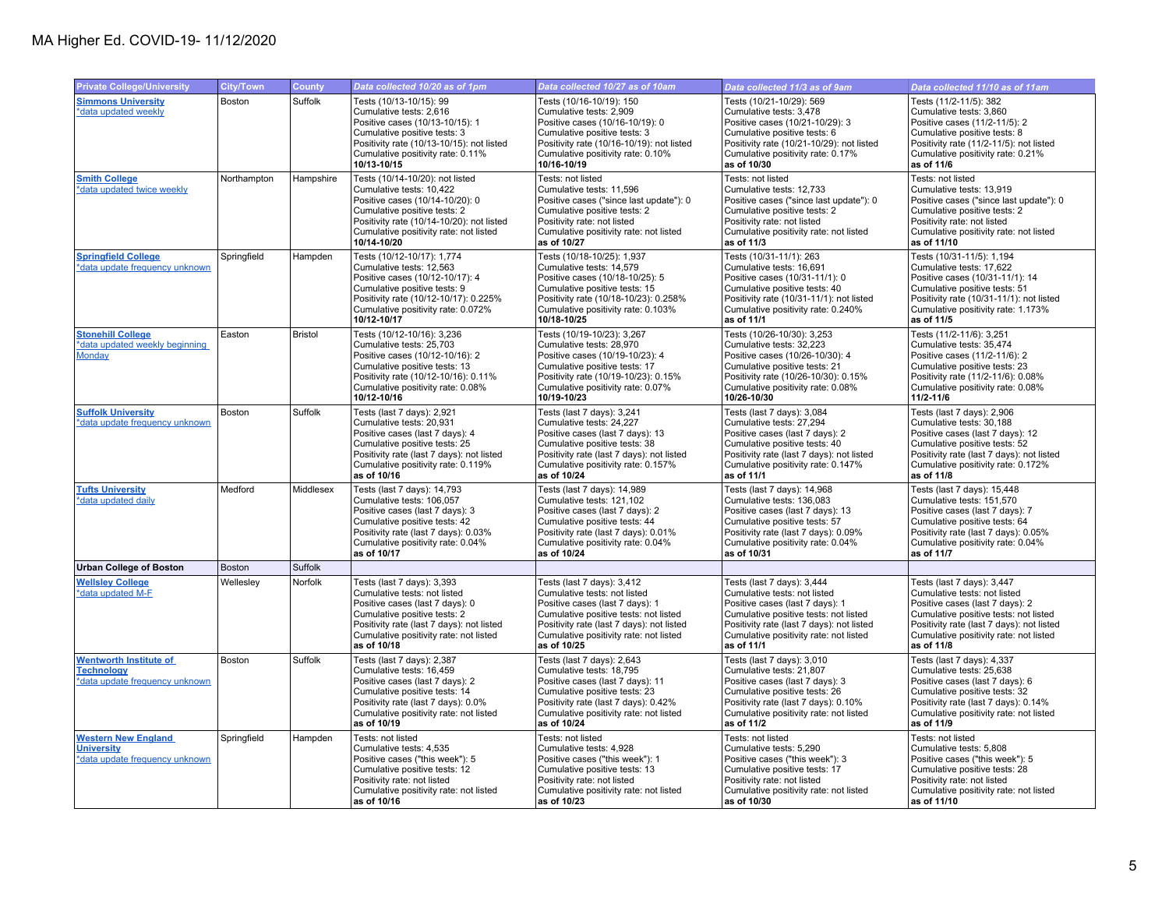| <b>Private College/University</b>                                                    | <b>City/Town</b> | <b>County</b>  | Data collected 10/20 as of 1pm                                                                                                                                                                                                       | Data collected 10/27 as of 10am                                                                                                                                                                                                              | Data collected 11/3 as of 9am                                                                                                                                                                                                               | Data collected 11/10 as of 11am                                                                                                                                                                                                             |
|--------------------------------------------------------------------------------------|------------------|----------------|--------------------------------------------------------------------------------------------------------------------------------------------------------------------------------------------------------------------------------------|----------------------------------------------------------------------------------------------------------------------------------------------------------------------------------------------------------------------------------------------|---------------------------------------------------------------------------------------------------------------------------------------------------------------------------------------------------------------------------------------------|---------------------------------------------------------------------------------------------------------------------------------------------------------------------------------------------------------------------------------------------|
| <b>Simmons University</b><br>*data updated weekly                                    | Boston           | Suffolk        | Tests (10/13-10/15): 99<br>Cumulative tests: 2,616<br>Positive cases (10/13-10/15): 1<br>Cumulative positive tests: 3<br>Positivity rate (10/13-10/15): not listed<br>Cumulative positivity rate: 0.11%<br>10/13-10/15               | Tests (10/16-10/19): 150<br>Cumulative tests: 2,909<br>Positive cases (10/16-10/19): 0<br>Cumulative positive tests: 3<br>Positivity rate (10/16-10/19): not listed<br>Cumulative positivity rate: 0.10%<br>10/16-10/19                      | Tests (10/21-10/29): 569<br>Cumulative tests: 3,478<br>Positive cases (10/21-10/29): 3<br>Cumulative positive tests: 6<br>Positivity rate (10/21-10/29): not listed<br>Cumulative positivity rate: 0.17%<br>as of 10/30                     | Tests (11/2-11/5): 382<br>Cumulative tests: 3,860<br>Positive cases (11/2-11/5): 2<br>Cumulative positive tests: 8<br>Positivity rate (11/2-11/5): not listed<br>Cumulative positivity rate: 0.21%<br>as of 11/6                            |
| <b>Smith College</b><br>*data updated twice weekly                                   | Northampton      | Hampshire      | Tests (10/14-10/20): not listed<br>Cumulative tests: 10,422<br>Positive cases (10/14-10/20): 0<br>Cumulative positive tests: 2<br>Positivity rate (10/14-10/20): not listed<br>Cumulative positivity rate: not listed<br>10/14-10/20 | Tests: not listed<br>Cumulative tests: 11,596<br>Positive cases ("since last update"): 0<br>Cumulative positive tests: 2<br>Positivity rate: not listed<br>Cumulative positivity rate: not listed<br>as of 10/27                             | Tests: not listed<br>Cumulative tests: 12.733<br>Positive cases ("since last update"): 0<br>Cumulative positive tests: 2<br>Positivity rate: not listed<br>Cumulative positivity rate: not listed<br>as of 11/3                             | Tests: not listed<br>Cumulative tests: 13,919<br>Positive cases ("since last update"): 0<br>Cumulative positive tests: 2<br>Positivity rate: not listed<br>Cumulative positivity rate: not listed<br>as of 11/10                            |
| <b>Springfield College</b><br>*data update frequency unknown                         | Springfield      | Hampden        | Tests (10/12-10/17): 1,774<br>Cumulative tests: 12.563<br>Positive cases (10/12-10/17): 4<br>Cumulative positive tests: 9<br>Positivity rate (10/12-10/17): 0.225%<br>Cumulative positivity rate: 0.072%<br>10/12-10/17              | Tests (10/18-10/25): 1,937<br>Cumulative tests: 14.579<br>Positive cases (10/18-10/25): 5<br>Cumulative positive tests: 15<br>Positivity rate (10/18-10/23): 0.258%<br>Cumulative positivity rate: 0.103%<br>10/18-10/25                     | Tests (10/31-11/1): 263<br>Cumulative tests: 16.691<br>Positive cases (10/31-11/1): 0<br>Cumulative positive tests: 40<br>Positivity rate (10/31-11/1): not listed<br>Cumulative positivity rate: 0.240%<br>as of 11/1                      | Tests (10/31-11/5): 1,194<br>Cumulative tests: 17.622<br>Positive cases (10/31-11/1): 14<br>Cumulative positive tests: 51<br>Positivity rate (10/31-11/1): not listed<br>Cumulative positivity rate: 1.173%<br>as of 11/5                   |
| <b>Stonehill College</b><br>*data updated weekly beginning<br>Monday                 | Easton           | <b>Bristol</b> | Tests (10/12-10/16): 3,236<br>Cumulative tests: 25,703<br>Positive cases (10/12-10/16): 2<br>Cumulative positive tests: 13<br>Positivity rate (10/12-10/16): 0.11%<br>Cumulative positivity rate: 0.08%<br>10/12-10/16               | Tests (10/19-10/23): 3,267<br>Cumulative tests: 28,970<br>Positive cases (10/19-10/23): 4<br>Cumulative positive tests: 17<br>Positivity rate (10/19-10/23): 0.15%<br>Cumulative positivity rate: 0.07%<br>10/19-10/23                       | Tests (10/26-10/30): 3,253<br>Cumulative tests: 32,223<br>Positive cases (10/26-10/30): 4<br>Cumulative positive tests: 21<br>Positivity rate (10/26-10/30): 0.15%<br>Cumulative positivity rate: 0.08%<br>10/26-10/30                      | Tests (11/2-11/6): 3,251<br>Cumulative tests: 35,474<br>Positive cases (11/2-11/6): 2<br>Cumulative positive tests: 23<br>Positivity rate (11/2-11/6): 0.08%<br>Cumulative positivity rate: 0.08%<br>$11/2 - 11/6$                          |
| <b>Suffolk University</b><br>*data update frequency unknown                          | Boston           | Suffolk        | Tests (last 7 days): 2,921<br>Cumulative tests: 20,931<br>Positive cases (last 7 days): 4<br>Cumulative positive tests: 25<br>Positivity rate (last 7 days): not listed<br>Cumulative positivity rate: 0.119%<br>as of 10/16         | Tests (last 7 days): 3,241<br>Cumulative tests: 24,227<br>Positive cases (last 7 days): 13<br>Cumulative positive tests: 38<br>Positivity rate (last 7 days): not listed<br>Cumulative positivity rate: 0.157%<br>as of 10/24                | Tests (last 7 days): 3,084<br>Cumulative tests: 27,294<br>Positive cases (last 7 days): 2<br>Cumulative positive tests: 40<br>Positivity rate (last 7 days): not listed<br>Cumulative positivity rate: 0.147%<br>as of 11/1                 | Tests (last 7 days): 2,906<br>Cumulative tests: 30,188<br>Positive cases (last 7 days): 12<br>Cumulative positive tests: 52<br>Positivity rate (last 7 days): not listed<br>Cumulative positivity rate: 0.172%<br>as of 11/8                |
| <b>Tufts University</b><br>*data updated daily                                       | Medford          | Middlesex      | Tests (last 7 days): 14,793<br>Cumulative tests: 106,057<br>Positive cases (last 7 days): 3<br>Cumulative positive tests: 42<br>Positivity rate (last 7 days): 0.03%<br>Cumulative positivity rate: 0.04%<br>as of 10/17             | Tests (last 7 days): 14,989<br>Cumulative tests: 121,102<br>Positive cases (last 7 days): 2<br>Cumulative positive tests: 44<br>Positivity rate (last 7 days): 0.01%<br>Cumulative positivity rate: 0.04%<br>as of 10/24                     | Tests (last 7 days): 14,968<br>Cumulative tests: 136,083<br>Positive cases (last 7 days): 13<br>Cumulative positive tests: 57<br>Positivity rate (last 7 days): 0.09%<br>Cumulative positivity rate: 0.04%<br>as of 10/31                   | Tests (last 7 days): 15,448<br>Cumulative tests: 151,570<br>Positive cases (last 7 days): 7<br>Cumulative positive tests: 64<br>Positivity rate (last 7 days): 0.05%<br>Cumulative positivity rate: 0.04%<br>as of 11/7                     |
| <b>Urban College of Boston</b>                                                       | Boston           | Suffolk        |                                                                                                                                                                                                                                      |                                                                                                                                                                                                                                              |                                                                                                                                                                                                                                             |                                                                                                                                                                                                                                             |
| <b>Wellsley College</b><br>*data updated M-F                                         | Wellesley        | Norfolk        | Tests (last 7 days): 3,393<br>Cumulative tests: not listed<br>Positive cases (last 7 days): 0<br>Cumulative positive tests: 2<br>Positivity rate (last 7 days): not listed<br>Cumulative positivity rate: not listed<br>as of 10/18  | Tests (last 7 days): 3,412<br>Cumulative tests: not listed<br>Positive cases (last 7 days): 1<br>Cumulative positive tests: not listed<br>Positivity rate (last 7 days): not listed<br>Cumulative positivity rate: not listed<br>as of 10/25 | Tests (last 7 days): 3,444<br>Cumulative tests: not listed<br>Positive cases (last 7 days): 1<br>Cumulative positive tests: not listed<br>Positivity rate (last 7 days): not listed<br>Cumulative positivity rate: not listed<br>as of 11/1 | Tests (last 7 days): 3,447<br>Cumulative tests: not listed<br>Positive cases (last 7 days): 2<br>Cumulative positive tests: not listed<br>Positivity rate (last 7 days): not listed<br>Cumulative positivity rate: not listed<br>as of 11/8 |
| <b>Wentworth Institute of</b><br><b>Technology</b><br>*data update frequency unknown | Boston           | Suffolk        | Tests (last 7 days): 2,387<br>Cumulative tests: 16,459<br>Positive cases (last 7 days): 2<br>Cumulative positive tests: 14<br>Positivity rate (last 7 days): 0.0%<br>Cumulative positivity rate: not listed<br>as of 10/19           | Tests (last 7 days): 2,643<br>Cumulative tests: 18,795<br>Positive cases (last 7 days): 11<br>Cumulative positive tests: 23<br>Positivity rate (last 7 days): 0.42%<br>Cumulative positivity rate: not listed<br>as of 10/24                 | Tests (last 7 days): 3,010<br>Cumulative tests: 21,807<br>Positive cases (last 7 days): 3<br>Cumulative positive tests: 26<br>Positivity rate (last 7 days): 0.10%<br>Cumulative positivity rate: not listed<br>as of 11/2                  | Tests (last 7 days): 4,337<br>Cumulative tests: 25,638<br>Positive cases (last 7 days): 6<br>Cumulative positive tests: 32<br>Positivity rate (last 7 days): 0.14%<br>Cumulative positivity rate: not listed<br>as of 11/9                  |
| <b>Western New England</b><br><b>University</b><br>*data update frequency unknown    | Springfield      | Hampden        | Tests: not listed<br>Cumulative tests: 4,535<br>Positive cases ("this week"): 5<br>Cumulative positive tests: 12<br>Positivity rate: not listed<br>Cumulative positivity rate: not listed<br>as of 10/16                             | Tests: not listed<br>Cumulative tests: 4,928<br>Positive cases ("this week"): 1<br>Cumulative positive tests: 13<br>Positivity rate: not listed<br>Cumulative positivity rate: not listed<br>as of 10/23                                     | Tests: not listed<br>Cumulative tests: 5,290<br>Positive cases ("this week"): 3<br>Cumulative positive tests: 17<br>Positivity rate: not listed<br>Cumulative positivity rate: not listed<br>as of 10/30                                    | Tests: not listed<br>Cumulative tests: 5,808<br>Positive cases ("this week"): 5<br>Cumulative positive tests: 28<br>Positivity rate: not listed<br>Cumulative positivity rate: not listed<br>as of 11/10                                    |